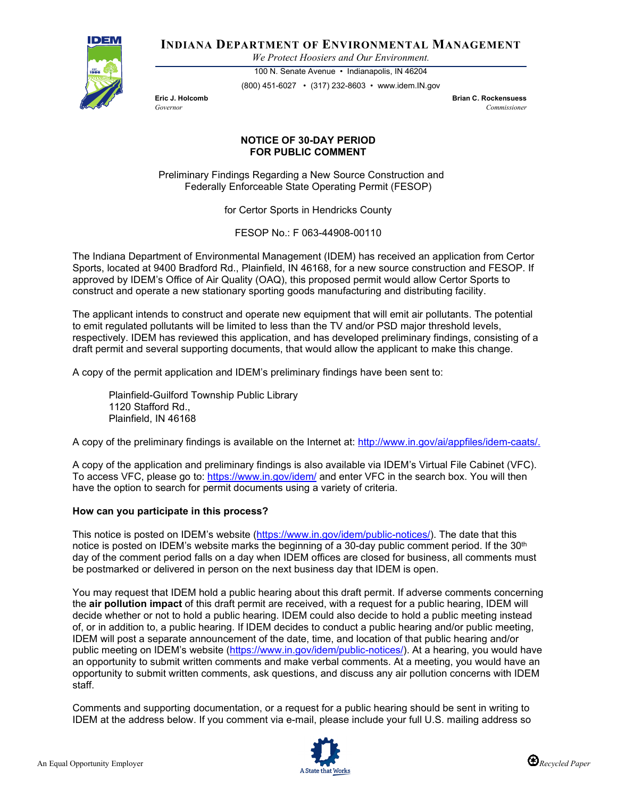

**INDIANA DEPARTMENT OF ENVIRONMENTAL MANAGEMENT**

*We Protect Hoosiers and Our Environment.*

100 N. Senate Avenue • Indianapolis, IN 46204 (800) 451-6027 • (317) 232-8603 • www.idem.IN.gov

**Eric J. Holcomb Brian C. Rockensuess** *Governor Commissioner* 

## **NOTICE OF 30-DAY PERIOD FOR PUBLIC COMMENT**

Preliminary Findings Regarding a New Source Construction and Federally Enforceable State Operating Permit (FESOP)

for Certor Sports in Hendricks County

FESOP No.: F 063-44908-00110

The Indiana Department of Environmental Management (IDEM) has received an application from Certor Sports, located at 9400 Bradford Rd., Plainfield, IN 46168, for a new source construction and FESOP. If approved by IDEM's Office of Air Quality (OAQ), this proposed permit would allow Certor Sports to construct and operate a new stationary sporting goods manufacturing and distributing facility.

The applicant intends to construct and operate new equipment that will emit air pollutants. The potential to emit regulated pollutants will be limited to less than the TV and/or PSD major threshold levels, respectively. IDEM has reviewed this application, and has developed preliminary findings, consisting of a draft permit and several supporting documents, that would allow the applicant to make this change.

A copy of the permit application and IDEM's preliminary findings have been sent to:

Plainfield-Guilford Township Public Library 1120 Stafford Rd., Plainfield, IN 46168

A copy of the preliminary findings is available on the Internet at: [http://www.in.gov/ai/appfiles/idem-caats/.](http://www.in.gov/ai/appfiles/idem-caats/)

A copy of the application and preliminary findings is also available via IDEM's Virtual File Cabinet (VFC). To access VFC, please go to:<https://www.in.gov/idem/> and enter VFC in the search box. You will then have the option to search for permit documents using a variety of criteria.

## **How can you participate in this process?**

This notice is posted on IDEM's website [\(https://www.in.gov/idem/public-notices/\)](https://www.in.gov/idem/public-notices/). The date that this notice is posted on IDEM's website marks the beginning of a 30-day public comment period. If the 30<sup>th</sup> day of the comment period falls on a day when IDEM offices are closed for business, all comments must be postmarked or delivered in person on the next business day that IDEM is open.

You may request that IDEM hold a public hearing about this draft permit. If adverse comments concerning the **air pollution impact** of this draft permit are received, with a request for a public hearing, IDEM will decide whether or not to hold a public hearing. IDEM could also decide to hold a public meeting instead of, or in addition to, a public hearing. If IDEM decides to conduct a public hearing and/or public meeting, IDEM will post a separate announcement of the date, time, and location of that public hearing and/or public meeting on IDEM's website [\(https://www.in.gov/idem/public-notices/\)](https://www.in.gov/idem/public-notices/). At a hearing, you would have an opportunity to submit written comments and make verbal comments. At a meeting, you would have an opportunity to submit written comments, ask questions, and discuss any air pollution concerns with IDEM staff.

Comments and supporting documentation, or a request for a public hearing should be sent in writing to IDEM at the address below. If you comment via e-mail, please include your full U.S. mailing address so